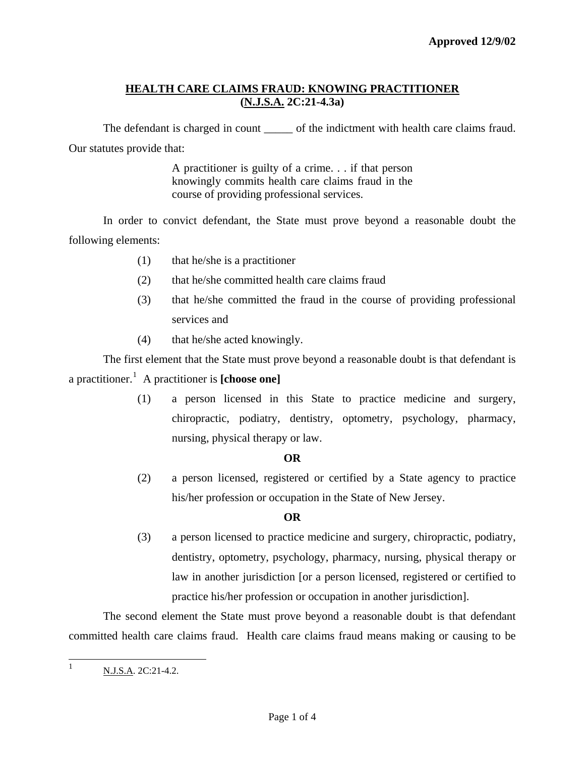# **HEALTH CARE CLAIMS FRAUD: KNOWING PRACTITIONER (N.J.S.A. 2C:21-4.3a)**

The defendant is charged in count of the indictment with health care claims fraud. Our statutes provide that:

> A practitioner is guilty of a crime. . . if that person knowingly commits health care claims fraud in the course of providing professional services.

 In order to convict defendant, the State must prove beyond a reasonable doubt the following elements:

- (1) that he/she is a practitioner
- (2) that he/she committed health care claims fraud
- (3) that he/she committed the fraud in the course of providing professional services and
- (4) that he/she acted knowingly.

 The first element that the State must prove beyond a reasonable doubt is that defendant is a practitioner.[1](#page-0-0) A practitioner is **[choose one]**

> (1) a person licensed in this State to practice medicine and surgery, chiropractic, podiatry, dentistry, optometry, psychology, pharmacy, nursing, physical therapy or law.

## **OR**

(2) a person licensed, registered or certified by a State agency to practice his/her profession or occupation in the State of New Jersey.

# **OR**

(3) a person licensed to practice medicine and surgery, chiropractic, podiatry, dentistry, optometry, psychology, pharmacy, nursing, physical therapy or law in another jurisdiction [or a person licensed, registered or certified to practice his/her profession or occupation in another jurisdiction].

<span id="page-0-1"></span> The second element the State must prove beyond a reasonable doubt is that defendant committed health care claims fraud. Health care claims fraud means making or causing to be

<span id="page-0-0"></span> $\mathbf{1}$ N.J.S.A. 2C:21-4.2.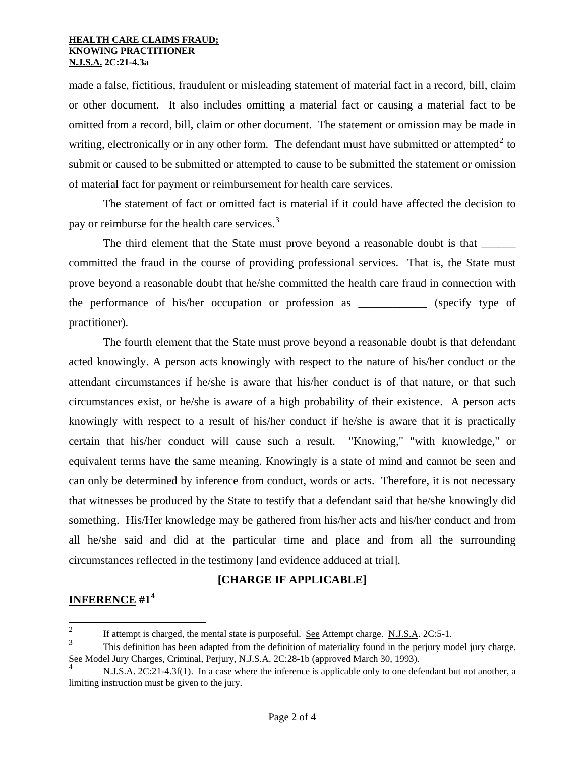#### **HEALTH CARE CLAIMS FRAUD; KNOWING PRACTITIONER N.J.S.A. 2C:21-4.3a**

made a false, fictitious, fraudulent or misleading statement of material fact in a record, bill, claim or other document. It also includes omitting a material fact or causing a material fact to be omitted from a record, bill, claim or other document. The statement or omission may be made in writing, electronically or in any other form. The defendant must have submitted or attempted $2$  to submit or caused to be submitted or attempted to cause to be submitted the statement or omission of material fact for payment or reimbursement for health care services.

 The statement of fact or omitted fact is material if it could have affected the decision to pay or reimburse for the health care services.<sup>[3](#page-1-0)</sup>

The third element that the State must prove beyond a reasonable doubt is that committed the fraud in the course of providing professional services. That is, the State must prove beyond a reasonable doubt that he/she committed the health care fraud in connection with the performance of his/her occupation or profession as \_\_\_\_\_\_\_\_\_\_\_\_ (specify type of practitioner).

 The fourth element that the State must prove beyond a reasonable doubt is that defendant acted knowingly. A person acts knowingly with respect to the nature of his/her conduct or the attendant circumstances if he/she is aware that his/her conduct is of that nature, or that such circumstances exist, or he/she is aware of a high probability of their existence. A person acts knowingly with respect to a result of his/her conduct if he/she is aware that it is practically certain that his/her conduct will cause such a result. "Knowing," "with knowledge," or equivalent terms have the same meaning. Knowingly is a state of mind and cannot be seen and can only be determined by inference from conduct, words or acts. Therefore, it is not necessary that witnesses be produced by the State to testify that a defendant said that he/she knowingly did something. His/Her knowledge may be gathered from his/her acts and his/her conduct and from all he/she said and did at the particular time and place and from all the surrounding circumstances reflected in the testimony [and evidence adduced at trial].

## **[CHARGE IF APPLICABLE]**

### <span id="page-1-2"></span>**INFERENCE #1[4](#page-1-1)**

 $\overline{c}$ If attempt is charged, the mental state is purposeful. See Attempt charge. N.J.S.A. 2C:5-1.

<span id="page-1-0"></span><sup>3</sup> This definition has been adapted from the definition of materiality found in the perjury model jury charge. See Model Jury Charges, Criminal, Perjury, N.J.S.A. 2C:28-1b (approved March 30, 1993).

<span id="page-1-1"></span>N.J.S.A. 2C:21-4.3f(1). In a case where the inference is applicable only to one defendant but not another, a limiting instruction must be given to the jury.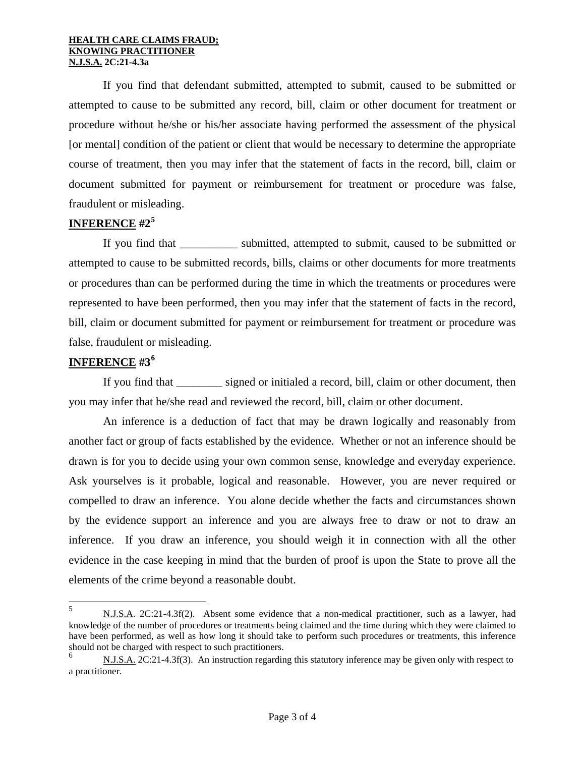### **HEALTH CARE CLAIMS FRAUD; KNOWING PRACTITIONER N.J.S.A. 2C:21-4.3a**

 If you find that defendant submitted, attempted to submit, caused to be submitted or attempted to cause to be submitted any record, bill, claim or other document for treatment or procedure without he/she or his/her associate having performed the assessment of the physical [or mental] condition of the patient or client that would be necessary to determine the appropriate course of treatment, then you may infer that the statement of facts in the record, bill, claim or document submitted for payment or reimbursement for treatment or procedure was false, fraudulent or misleading.

## **INFERENCE #2[5](#page-1-2)**

If you find that submitted, attempted to submit, caused to be submitted or attempted to cause to be submitted records, bills, claims or other documents for more treatments or procedures than can be performed during the time in which the treatments or procedures were represented to have been performed, then you may infer that the statement of facts in the record, bill, claim or document submitted for payment or reimbursement for treatment or procedure was false, fraudulent or misleading.

# **INFERENCE #3[6](#page-2-0)**

 If you find that \_\_\_\_\_\_\_\_ signed or initialed a record, bill, claim or other document, then you may infer that he/she read and reviewed the record, bill, claim or other document.

 An inference is a deduction of fact that may be drawn logically and reasonably from another fact or group of facts established by the evidence. Whether or not an inference should be drawn is for you to decide using your own common sense, knowledge and everyday experience. Ask yourselves is it probable, logical and reasonable. However, you are never required or compelled to draw an inference. You alone decide whether the facts and circumstances shown by the evidence support an inference and you are always free to draw or not to draw an inference. If you draw an inference, you should weigh it in connection with all the other evidence in the case keeping in mind that the burden of proof is upon the State to prove all the elements of the crime beyond a reasonable doubt.

 $\overline{5}$ <sup>5</sup> N.J.S.A. 2C:21-4.3f(2). Absent some evidence that a non-medical practitioner, such as a lawyer, had knowledge of the number of procedures or treatments being claimed and the time during which they were claimed to have been performed, as well as how long it should take to perform such procedures or treatments, this inference should not be charged with respect to such practitioners.

<span id="page-2-0"></span>N.J.S.A. 2C:21-4.3f(3). An instruction regarding this statutory inference may be given only with respect to a practitioner.